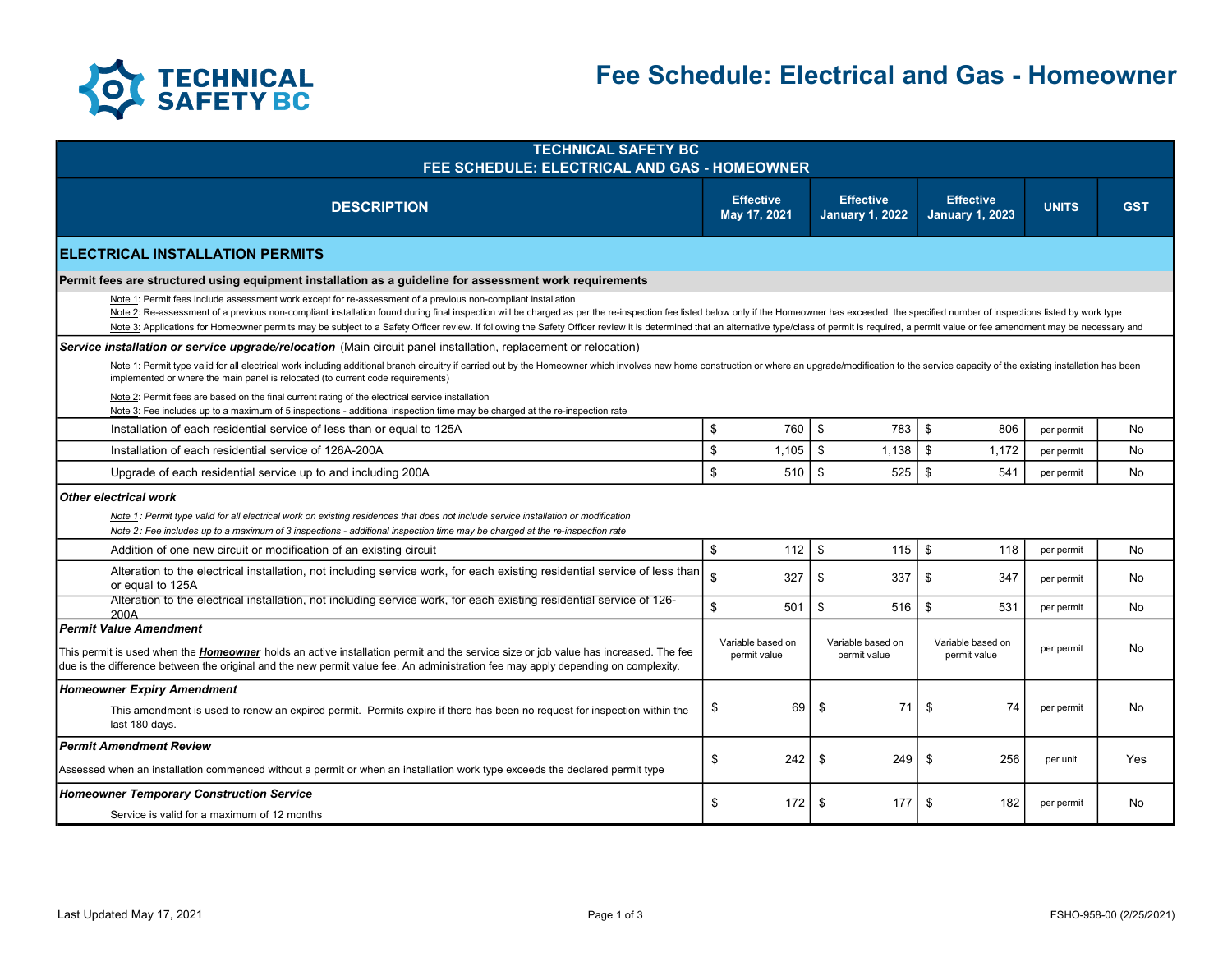

| <b>TECHNICAL SAFETY BC</b><br>FEE SCHEDULE: ELECTRICAL AND GAS - HOMEOWNER                                                                                                                                                                                                                                                                                                                                                                                                                                                                                                       |                           |                                   |                                            |                                            |              |            |  |  |
|----------------------------------------------------------------------------------------------------------------------------------------------------------------------------------------------------------------------------------------------------------------------------------------------------------------------------------------------------------------------------------------------------------------------------------------------------------------------------------------------------------------------------------------------------------------------------------|---------------------------|-----------------------------------|--------------------------------------------|--------------------------------------------|--------------|------------|--|--|
| <b>DESCRIPTION</b>                                                                                                                                                                                                                                                                                                                                                                                                                                                                                                                                                               |                           | <b>Effective</b><br>May 17, 2021  | <b>Effective</b><br><b>January 1, 2022</b> | <b>Effective</b><br><b>January 1, 2023</b> | <b>UNITS</b> | <b>GST</b> |  |  |
| IELECTRICAL INSTALLATION PERMITS                                                                                                                                                                                                                                                                                                                                                                                                                                                                                                                                                 |                           |                                   |                                            |                                            |              |            |  |  |
| Permit fees are structured using equipment installation as a guideline for assessment work requirements                                                                                                                                                                                                                                                                                                                                                                                                                                                                          |                           |                                   |                                            |                                            |              |            |  |  |
| Note 1: Permit fees include assessment work except for re-assessment of a previous non-compliant installation<br>Note 2: Re-assessment of a previous non-compliant installation found during final inspection will be charged as per the re-inspection fee listed below only if the Homeowner has exceeded the specified number of inspections<br>Note 3: Applications for Homeowner permits may be subject to a Safety Officer review. If following the Safety Officer review it is determined that an alternative type/class of permit is required, a permit value or fee amen |                           |                                   |                                            |                                            |              |            |  |  |
| Service installation or service upgrade/relocation (Main circuit panel installation, replacement or relocation)                                                                                                                                                                                                                                                                                                                                                                                                                                                                  |                           |                                   |                                            |                                            |              |            |  |  |
| Note 1: Permit type valid for all electrical work including additional branch circuitry if carried out by the Homeowner which involves new home construction or where an upgrade/modification to the service capacity of the e<br>implemented or where the main panel is relocated (to current code requirements)                                                                                                                                                                                                                                                                |                           |                                   |                                            |                                            |              |            |  |  |
| Note 2: Permit fees are based on the final current rating of the electrical service installation<br>Note 3: Fee includes up to a maximum of 5 inspections - additional inspection time may be charged at the re-inspection rate                                                                                                                                                                                                                                                                                                                                                  |                           |                                   |                                            |                                            |              |            |  |  |
| Installation of each residential service of less than or equal to 125A                                                                                                                                                                                                                                                                                                                                                                                                                                                                                                           | \$                        | 760                               | \$<br>783                                  | \$<br>806                                  | per permit   | No         |  |  |
| Installation of each residential service of 126A-200A                                                                                                                                                                                                                                                                                                                                                                                                                                                                                                                            | $\boldsymbol{\mathsf{s}}$ | 1,105                             | \$<br>1,138                                | \$<br>1,172                                | per permit   | No         |  |  |
| Upgrade of each residential service up to and including 200A                                                                                                                                                                                                                                                                                                                                                                                                                                                                                                                     | \$                        | 510                               | \$<br>525                                  | \$<br>541                                  | per permit   | No         |  |  |
| Other electrical work<br>Note 1: Permit type valid for all electrical work on existing residences that does not include service installation or modification<br>Note 2: Fee includes up to a maximum of 3 inspections - additional inspection time may be charged at the re-inspection rate                                                                                                                                                                                                                                                                                      |                           |                                   |                                            |                                            |              |            |  |  |
| Addition of one new circuit or modification of an existing circuit                                                                                                                                                                                                                                                                                                                                                                                                                                                                                                               | \$                        | 112                               | \$<br>115                                  | \$<br>118                                  | per permit   | No         |  |  |
| Alteration to the electrical installation, not including service work, for each existing residential service of less than<br>or equal to 125A                                                                                                                                                                                                                                                                                                                                                                                                                                    | \$                        | 327                               | \$<br>337                                  | \$<br>347                                  | per permit   | No         |  |  |
| Alteration to the electrical installation, not including service work, for each existing residential service of 126-<br>200A                                                                                                                                                                                                                                                                                                                                                                                                                                                     | \$                        | 501                               | \$<br>516                                  | \$<br>531                                  | per permit   | No         |  |  |
| <b>I</b> Permit Value Amendment<br>This permit is used when the <i>Homeowner</i> holds an active installation permit and the service size or job value has increased. The fee<br>due is the difference between the original and the new permit value fee. An administration fee may apply depending on complexity.                                                                                                                                                                                                                                                               |                           | Variable based on<br>permit value | Variable based on<br>permit value          | Variable based on<br>permit value          | per permit   | No         |  |  |
| <b>Homeowner Expiry Amendment</b><br>This amendment is used to renew an expired permit. Permits expire if there has been no request for inspection within the<br>last 180 days.                                                                                                                                                                                                                                                                                                                                                                                                  | \$                        | 69                                | 71<br>\$                                   | \$<br>74                                   | per permit   | No         |  |  |
| l Permit Amendment Review<br>Assessed when an installation commenced without a permit or when an installation work type exceeds the declared permit type                                                                                                                                                                                                                                                                                                                                                                                                                         | \$                        | 242                               | \$<br>249                                  | 256<br>\$                                  | per unit     | Yes        |  |  |
| <b>Homeowner Temporary Construction Service</b><br>Service is valid for a maximum of 12 months                                                                                                                                                                                                                                                                                                                                                                                                                                                                                   | \$                        | 172                               | \$<br>177                                  | \$<br>182                                  | per permit   | No         |  |  |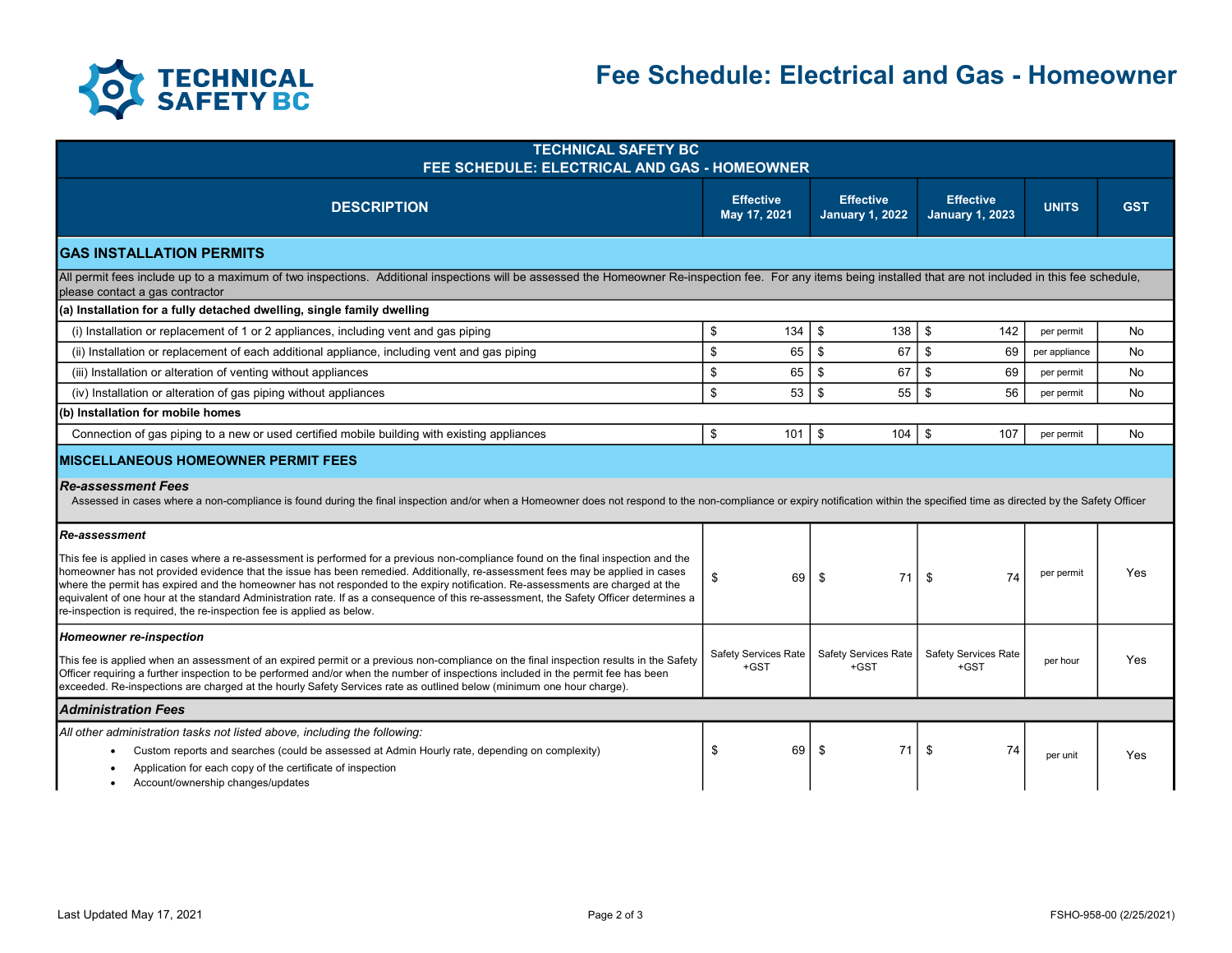

| <b>TECHNICAL SAFETY BC</b><br>FEE SCHEDULE: ELECTRICAL AND GAS - HOMEOWNER                                                                                                                                                                                                                                                                                                                                                                                                                                                                                                                                                                         |    |                                       |                                            |                                            |               |            |  |  |
|----------------------------------------------------------------------------------------------------------------------------------------------------------------------------------------------------------------------------------------------------------------------------------------------------------------------------------------------------------------------------------------------------------------------------------------------------------------------------------------------------------------------------------------------------------------------------------------------------------------------------------------------------|----|---------------------------------------|--------------------------------------------|--------------------------------------------|---------------|------------|--|--|
| <b>DESCRIPTION</b>                                                                                                                                                                                                                                                                                                                                                                                                                                                                                                                                                                                                                                 |    | <b>Effective</b><br>May 17, 2021      | <b>Effective</b><br><b>January 1, 2022</b> | <b>Effective</b><br><b>January 1, 2023</b> | <b>UNITS</b>  | <b>GST</b> |  |  |
| <b>GAS INSTALLATION PERMITS</b>                                                                                                                                                                                                                                                                                                                                                                                                                                                                                                                                                                                                                    |    |                                       |                                            |                                            |               |            |  |  |
| All permit fees include up to a maximum of two inspections. Additional inspections will be assessed the Homeowner Re-inspection fee. For any items being installed that are not included in this fee schedule,<br>please contact a gas contractor                                                                                                                                                                                                                                                                                                                                                                                                  |    |                                       |                                            |                                            |               |            |  |  |
| (a) Installation for a fully detached dwelling, single family dwelling                                                                                                                                                                                                                                                                                                                                                                                                                                                                                                                                                                             |    |                                       |                                            |                                            |               |            |  |  |
| (i) Installation or replacement of 1 or 2 appliances, including vent and gas piping                                                                                                                                                                                                                                                                                                                                                                                                                                                                                                                                                                | \$ | 134                                   | \$<br>138                                  | \$<br>142                                  | per permit    | No         |  |  |
| (ii) Installation or replacement of each additional appliance, including vent and gas piping                                                                                                                                                                                                                                                                                                                                                                                                                                                                                                                                                       | \$ | 65                                    | \$<br>67                                   | \$<br>69                                   | per appliance | No         |  |  |
| (iii) Installation or alteration of venting without appliances                                                                                                                                                                                                                                                                                                                                                                                                                                                                                                                                                                                     | \$ | 65                                    | \$<br>67                                   | \$<br>69                                   | per permit    | <b>No</b>  |  |  |
| (iv) Installation or alteration of gas piping without appliances                                                                                                                                                                                                                                                                                                                                                                                                                                                                                                                                                                                   | \$ | 53                                    | \$<br>55                                   | 56<br>\$                                   | per permit    | No         |  |  |
| (b) Installation for mobile homes                                                                                                                                                                                                                                                                                                                                                                                                                                                                                                                                                                                                                  |    |                                       |                                            |                                            |               |            |  |  |
| Connection of gas piping to a new or used certified mobile building with existing appliances                                                                                                                                                                                                                                                                                                                                                                                                                                                                                                                                                       | \$ | 101                                   | \$<br>104                                  | \$<br>107                                  | per permit    | No         |  |  |
| <b>IMISCELLANEOUS HOMEOWNER PERMIT FEES</b><br><b>Re-assessment Fees</b><br>Assessed in cases where a non-compliance is found during the final inspection and/or when a Homeowner does not respond to the non-compliance or expiry notification within the specified time as directed by the Safety Office                                                                                                                                                                                                                                                                                                                                         |    |                                       |                                            |                                            |               |            |  |  |
| <b>Re-assessment</b><br>This fee is applied in cases where a re-assessment is performed for a previous non-compliance found on the final inspection and the<br>homeowner has not provided evidence that the issue has been remedied. Additionally, re-assessment fees may be applied in cases<br>where the permit has expired and the homeowner has not responded to the expiry notification. Re-assessments are charged at the<br>equivalent of one hour at the standard Administration rate. If as a consequence of this re-assessment, the Safety Officer determines a<br>re-inspection is required, the re-inspection fee is applied as below. | \$ | 69                                    | 71<br>\$                                   | \$<br>74                                   | per permit    | Yes        |  |  |
| <b>Homeowner re-inspection</b><br>This fee is applied when an assessment of an expired permit or a previous non-compliance on the final inspection results in the Safety<br>Officer requiring a further inspection to be performed and/or when the number of inspections included in the permit fee has been<br>exceeded. Re-inspections are charged at the hourly Safety Services rate as outlined below (minimum one hour charge).                                                                                                                                                                                                               |    | <b>Safety Services Rate</b><br>$+GST$ | <b>Safety Services Rate</b><br>+GST        | <b>Safety Services Rate</b><br>+GST        | per hour      | Yes        |  |  |
| <b>Administration Fees</b>                                                                                                                                                                                                                                                                                                                                                                                                                                                                                                                                                                                                                         |    |                                       |                                            |                                            |               |            |  |  |
| All other administration tasks not listed above, including the following:<br>Custom reports and searches (could be assessed at Admin Hourly rate, depending on complexity)<br>Application for each copy of the certificate of inspection<br>Account/ownership changes/updates<br>٠                                                                                                                                                                                                                                                                                                                                                                 | \$ | 69                                    | \$<br>71                                   | \$<br>74                                   | per unit      | Yes        |  |  |